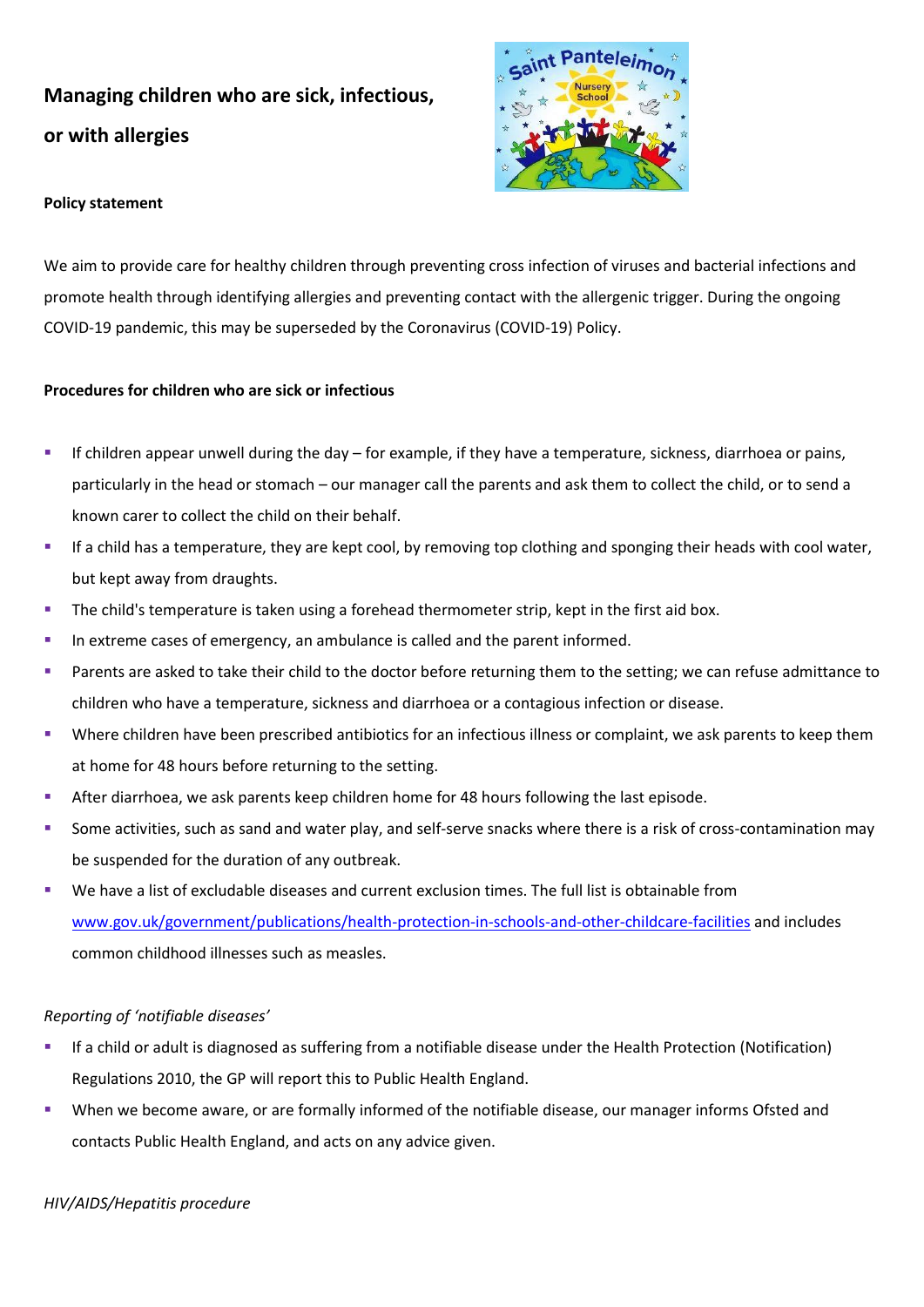# **Managing children who are sick, infectious, or with allergies**



## **Policy statement**

We aim to provide care for healthy children through preventing cross infection of viruses and bacterial infections and promote health through identifying allergies and preventing contact with the allergenic trigger. During the ongoing COVID-19 pandemic, this may be superseded by the Coronavirus (COVID-19) Policy.

## **Procedures for children who are sick or infectious**

- If children appear unwell during the day for example, if they have a temperature, sickness, diarrhoea or pains, particularly in the head or stomach – our manager call the parents and ask them to collect the child, or to send a known carer to collect the child on their behalf.
- If a child has a temperature, they are kept cool, by removing top clothing and sponging their heads with cool water, but kept away from draughts.
- The child's temperature is taken using a forehead thermometer strip, kept in the first aid box.
- In extreme cases of emergency, an ambulance is called and the parent informed.
- Parents are asked to take their child to the doctor before returning them to the setting; we can refuse admittance to children who have a temperature, sickness and diarrhoea or a contagious infection or disease.
- Where children have been prescribed antibiotics for an infectious illness or complaint, we ask parents to keep them at home for 48 hours before returning to the setting.
- After diarrhoea, we ask parents keep children home for 48 hours following the last episode.
- Some activities, such as sand and water play, and self-serve snacks where there is a risk of cross-contamination may be suspended for the duration of any outbreak.
- We have a list of excludable diseases and current exclusion times. The full list is obtainable from [www.gov.uk/government/publications/health-protection-in-schools-and-other-childcare-facilities](http://www.gov.uk/government/publications/health-protection-in-schools-and-other-childcare-facilities) and includes common childhood illnesses such as measles.

## *Reporting of 'notifiable diseases'*

- If a child or adult is diagnosed as suffering from a notifiable disease under the Health Protection (Notification) Regulations 2010, the GP will report this to Public Health England.
- When we become aware, or are formally informed of the notifiable disease, our manager informs Ofsted and contacts Public Health England, and acts on any advice given.

### *HIV/AIDS/Hepatitis procedure*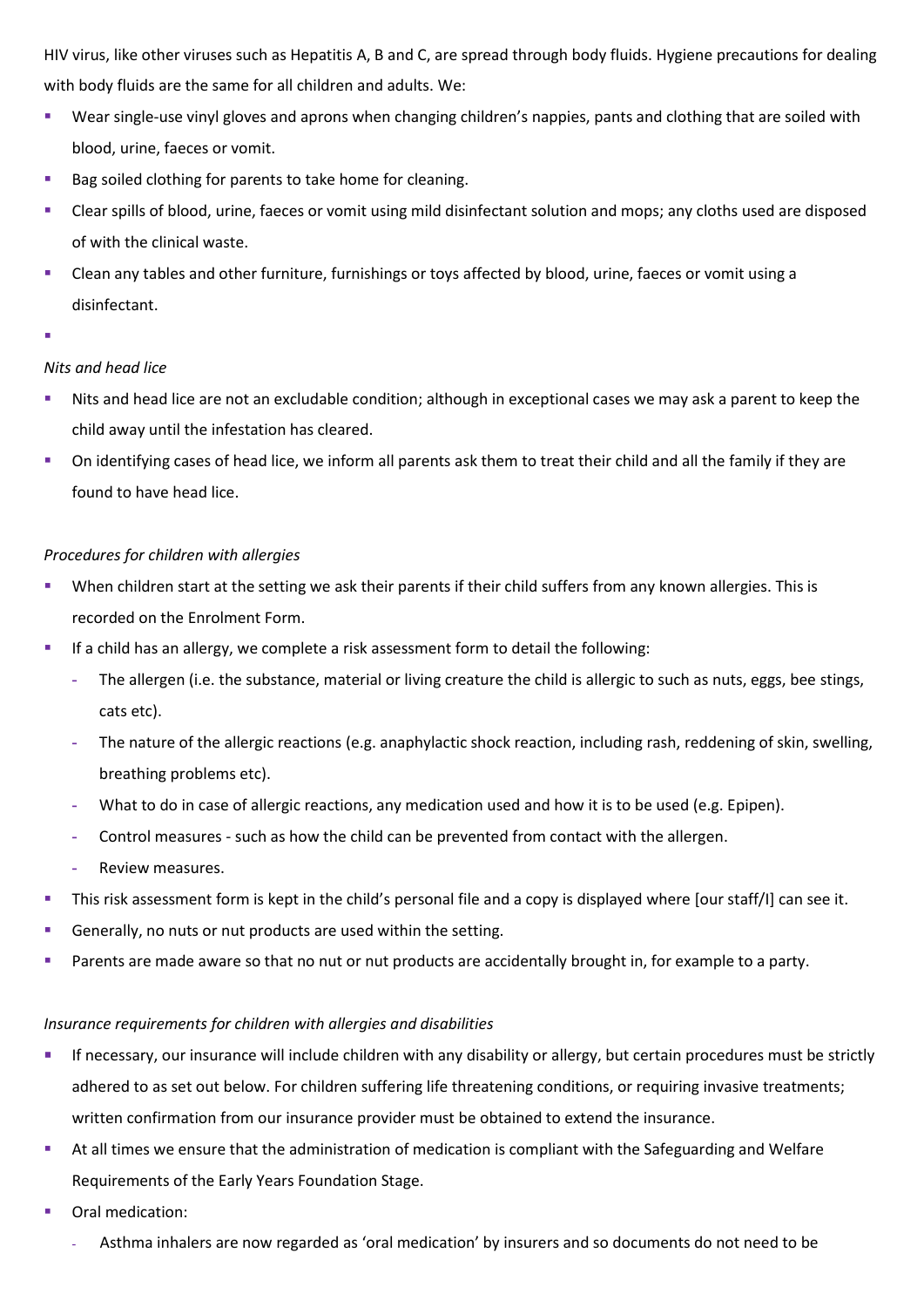HIV virus, like other viruses such as Hepatitis A, B and C, are spread through body fluids. Hygiene precautions for dealing with body fluids are the same for all children and adults. We:

- Wear single-use vinyl gloves and aprons when changing children's nappies, pants and clothing that are soiled with blood, urine, faeces or vomit.
- Bag soiled clothing for parents to take home for cleaning.
- Clear spills of blood, urine, faeces or vomit using mild disinfectant solution and mops; any cloths used are disposed of with the clinical waste.
- Clean any tables and other furniture, furnishings or toys affected by blood, urine, faeces or vomit using a disinfectant.
- ▪

## *Nits and head lice*

- Nits and head lice are not an excludable condition; although in exceptional cases we may ask a parent to keep the child away until the infestation has cleared.
- On identifying cases of head lice, we inform all parents ask them to treat their child and all the family if they are found to have head lice.

## *Procedures for children with allergies*

- When children start at the setting we ask their parents if their child suffers from any known allergies. This is recorded on the Enrolment Form.
- **■** If a child has an allergy, we complete a risk assessment form to detail the following:
	- **-** The allergen (i.e. the substance, material or living creature the child is allergic to such as nuts, eggs, bee stings, cats etc).
	- **-** The nature of the allergic reactions (e.g. anaphylactic shock reaction, including rash, reddening of skin, swelling, breathing problems etc).
	- **-** What to do in case of allergic reactions, any medication used and how it is to be used (e.g. Epipen).
	- **-** Control measures such as how the child can be prevented from contact with the allergen.
	- **-** Review measures.
- This risk assessment form is kept in the child's personal file and a copy is displayed where [our staff/I] can see it.
- Generally, no nuts or nut products are used within the setting.
- Parents are made aware so that no nut or nut products are accidentally brought in, for example to a party.

## *Insurance requirements for children with allergies and disabilities*

- **EXT** If necessary, our insurance will include children with any disability or allergy, but certain procedures must be strictly adhered to as set out below. For children suffering life threatening conditions, or requiring invasive treatments; written confirmation from our insurance provider must be obtained to extend the insurance.
- At all times we ensure that the administration of medication is compliant with the Safeguarding and Welfare Requirements of the Early Years Foundation Stage.
- Oral medication:
	- **-** Asthma inhalers are now regarded as 'oral medication' by insurers and so documents do not need to be